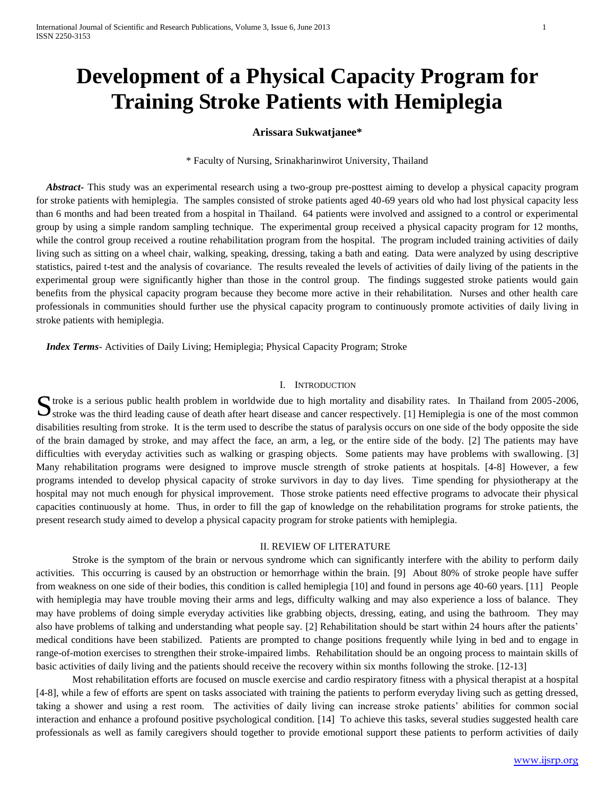# **Development of a Physical Capacity Program for Training Stroke Patients with Hemiplegia**

# **Arissara Sukwatjanee\***

\* Faculty of Nursing, Srinakharinwirot University, Thailand

 *Abstract-* This study was an experimental research using a two-group pre-posttest aiming to develop a physical capacity program for stroke patients with hemiplegia. The samples consisted of stroke patients aged 40-69 years old who had lost physical capacity less than 6 months and had been treated from a hospital in Thailand. 64 patients were involved and assigned to a control or experimental group by using a simple random sampling technique. The experimental group received a physical capacity program for 12 months, while the control group received a routine rehabilitation program from the hospital. The program included training activities of daily living such as sitting on a wheel chair, walking, speaking, dressing, taking a bath and eating. Data were analyzed by using descriptive statistics, paired t-test and the analysis of covariance. The results revealed the levels of activities of daily living of the patients in the experimental group were significantly higher than those in the control group. The findings suggested stroke patients would gain benefits from the physical capacity program because they become more active in their rehabilitation. Nurses and other health care professionals in communities should further use the physical capacity program to continuously promote activities of daily living in stroke patients with hemiplegia.

 *Index Terms*- Activities of Daily Living; Hemiplegia; Physical Capacity Program; Stroke

## I. INTRODUCTION

The troke is a serious public health problem in worldwide due to high mortality and disability rates. In Thailand from 2005-2006, Stroke is a serious public health problem in worldwide due to high mortality and disability rates. In Thailand from 2005-2006, Stroke was the third leading cause of death after heart disease and cancer respectively. [1] He disabilities resulting from stroke. It is the term used to describe the status of paralysis occurs on one side of the body opposite the side of the brain damaged by stroke, and may affect the face, an arm, a leg, or the entire side of the body. [2] The patients may have difficulties with everyday activities such as walking or grasping objects. Some patients may have problems with swallowing. [3] Many rehabilitation programs were designed to improve muscle strength of stroke patients at hospitals. [4-8] However, a few programs intended to develop physical capacity of stroke survivors in day to day lives. Time spending for physiotherapy at the hospital may not much enough for physical improvement. Those stroke patients need effective programs to advocate their physical capacities continuously at home. Thus, in order to fill the gap of knowledge on the rehabilitation programs for stroke patients, the present research study aimed to develop a physical capacity program for stroke patients with hemiplegia.

## II. REVIEW OF LITERATURE

Stroke is the symptom of the brain or nervous syndrome which can significantly interfere with the ability to perform daily activities. This occurring is caused by an obstruction or hemorrhage within the brain. [9] About 80% of stroke people have suffer from weakness on one side of their bodies, this condition is called hemiplegia [10] and found in persons age 40-60 years. [11] People with hemiplegia may have trouble moving their arms and legs, difficulty walking and may also experience a loss of balance. They may have problems of doing simple everyday activities like grabbing objects, dressing, eating, and using the bathroom. They may also have problems of talking and understanding what people say. [2] Rehabilitation should be start within 24 hours after the patients' medical conditions have been stabilized. Patients are prompted to change positions frequently while lying in bed and to engage in range-of-motion exercises to strengthen their stroke-impaired limbs. Rehabilitation should be an ongoing process to maintain skills of basic activities of daily living and the patients should receive the recovery within six months following the stroke. [12-13]

Most rehabilitation efforts are focused on muscle exercise and cardio respiratory fitness with a physical therapist at a hospital [4-8], while a few of efforts are spent on tasks associated with training the patients to perform everyday living such as getting dressed, taking a shower and using a rest room. The activities of daily living can increase stroke patients' abilities for common social interaction and enhance a profound positive psychological condition. [14] To achieve this tasks, several studies suggested health care professionals as well as family caregivers should together to provide emotional support these patients to perform activities of daily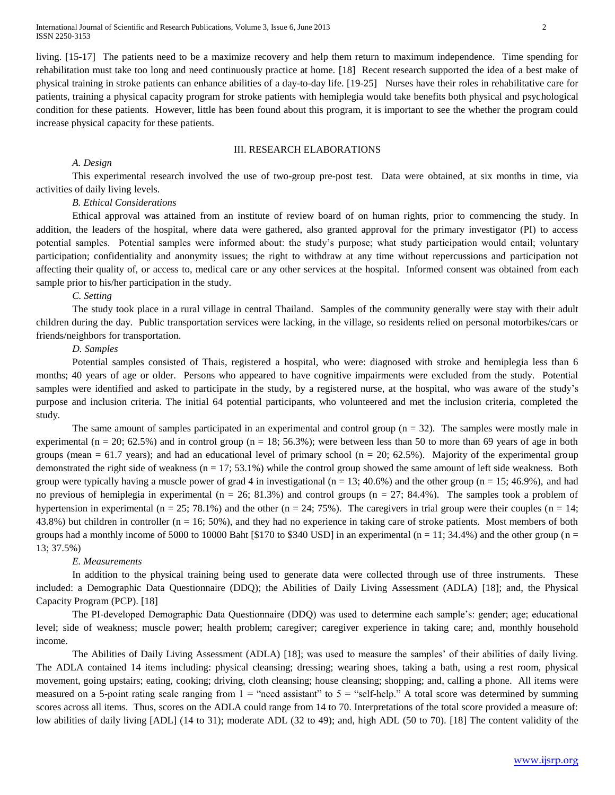International Journal of Scientific and Research Publications, Volume 3, Issue 6, June 2013 2 ISSN 2250-3153

living. [15-17] The patients need to be a maximize recovery and help them return to maximum independence. Time spending for rehabilitation must take too long and need continuously practice at home. [18] Recent research supported the idea of a best make of physical training in stroke patients can enhance abilities of a day-to-day life. [19-25] Nurses have their roles in rehabilitative care for patients, training a physical capacity program for stroke patients with hemiplegia would take benefits both physical and psychological condition for these patients. However, little has been found about this program, it is important to see the whether the program could increase physical capacity for these patients.

# III. RESEARCH ELABORATIONS

#### *A. Design*

This experimental research involved the use of two-group pre-post test. Data were obtained, at six months in time, via activities of daily living levels.

#### *B. Ethical Considerations*

Ethical approval was attained from an institute of review board of on human rights, prior to commencing the study. In addition, the leaders of the hospital, where data were gathered, also granted approval for the primary investigator (PI) to access potential samples. Potential samples were informed about: the study's purpose; what study participation would entail; voluntary participation; confidentiality and anonymity issues; the right to withdraw at any time without repercussions and participation not affecting their quality of, or access to, medical care or any other services at the hospital. Informed consent was obtained from each sample prior to his/her participation in the study.

#### *C. Setting*

The study took place in a rural village in central Thailand. Samples of the community generally were stay with their adult children during the day. Public transportation services were lacking, in the village, so residents relied on personal motorbikes/cars or friends/neighbors for transportation.

# *D. Samples*

Potential samples consisted of Thais, registered a hospital, who were: diagnosed with stroke and hemiplegia less than 6 months; 40 years of age or older. Persons who appeared to have cognitive impairments were excluded from the study. Potential samples were identified and asked to participate in the study, by a registered nurse, at the hospital, who was aware of the study's purpose and inclusion criteria. The initial 64 potential participants, who volunteered and met the inclusion criteria, completed the study.

The same amount of samples participated in an experimental and control group  $(n = 32)$ . The samples were mostly male in experimental (n = 20; 62.5%) and in control group (n = 18; 56.3%); were between less than 50 to more than 69 years of age in both groups (mean  $= 61.7$  years); and had an educational level of primary school (n = 20; 62.5%). Majority of the experimental group demonstrated the right side of weakness  $(n = 17; 53.1%)$  while the control group showed the same amount of left side weakness. Both group were typically having a muscle power of grad 4 in investigational ( $n = 13$ ; 40.6%) and the other group ( $n = 15$ ; 46.9%), and had no previous of hemiplegia in experimental ( $n = 26$ ; 81.3%) and control groups ( $n = 27$ ; 84.4%). The samples took a problem of hypertension in experimental (n = 25; 78.1%) and the other (n = 24; 75%). The caregivers in trial group were their couples (n = 14; 43.8%) but children in controller (n = 16; 50%), and they had no experience in taking care of stroke patients. Most members of both groups had a monthly income of 5000 to 10000 Baht [\$170 to \$340 USD] in an experimental ( $n = 11$ ; 34.4%) and the other group ( $n =$ 13; 37.5%)

#### *E. Measurements*

In addition to the physical training being used to generate data were collected through use of three instruments. These included: a Demographic Data Questionnaire (DDQ); the Abilities of Daily Living Assessment (ADLA) [18]; and, the Physical Capacity Program (PCP). [18]

The PI-developed Demographic Data Questionnaire (DDQ) was used to determine each sample's: gender; age; educational level; side of weakness; muscle power; health problem; caregiver; caregiver experience in taking care; and, monthly household income.

The Abilities of Daily Living Assessment (ADLA) [18]; was used to measure the samples' of their abilities of daily living. The ADLA contained 14 items including: physical cleansing; dressing; wearing shoes, taking a bath, using a rest room, physical movement, going upstairs; eating, cooking; driving, cloth cleansing; house cleansing; shopping; and, calling a phone. All items were measured on a 5-point rating scale ranging from  $1 =$  "need assistant" to  $5 =$  "self-help." A total score was determined by summing scores across all items. Thus, scores on the ADLA could range from 14 to 70. Interpretations of the total score provided a measure of: low abilities of daily living [ADL] (14 to 31); moderate ADL (32 to 49); and, high ADL (50 to 70). [18] The content validity of the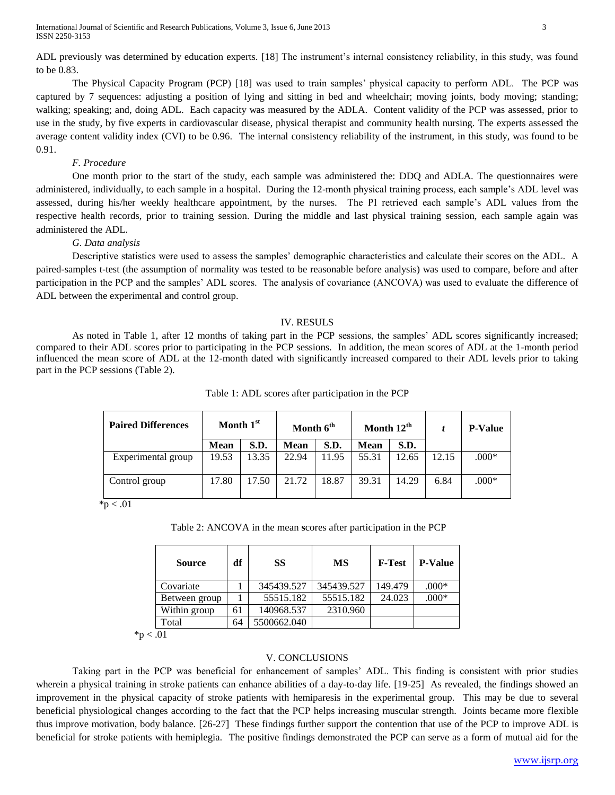International Journal of Scientific and Research Publications, Volume 3, Issue 6, June 2013 3 ISSN 2250-3153

The Physical Capacity Program (PCP) [18] was used to train samples' physical capacity to perform ADL. The PCP was captured by 7 sequences: adjusting a position of lying and sitting in bed and wheelchair; moving joints, body moving; standing; walking; speaking; and, doing ADL. Each capacity was measured by the ADLA. Content validity of the PCP was assessed, prior to use in the study, by five experts in cardiovascular disease, physical therapist and community health nursing. The experts assessed the average content validity index (CVI) to be 0.96. The internal consistency reliability of the instrument, in this study, was found to be 0.91.

## *F. Procedure*

One month prior to the start of the study, each sample was administered the: DDQ and ADLA. The questionnaires were administered, individually, to each sample in a hospital. During the 12-month physical training process, each sample's ADL level was assessed, during his/her weekly healthcare appointment, by the nurses. The PI retrieved each sample's ADL values from the respective health records, prior to training session. During the middle and last physical training session, each sample again was administered the ADL.

# *G. Data analysis*

Descriptive statistics were used to assess the samples' demographic characteristics and calculate their scores on the ADL. A paired-samples t-test (the assumption of normality was tested to be reasonable before analysis) was used to compare, before and after participation in the PCP and the samples' ADL scores. The analysis of covariance (ANCOVA) was used to evaluate the difference of ADL between the experimental and control group.

#### IV. RESULS

As noted in Table 1, after 12 months of taking part in the PCP sessions, the samples' ADL scores significantly increased; compared to their ADL scores prior to participating in the PCP sessions. In addition, the mean scores of ADL at the 1-month period influenced the mean score of ADL at the 12-month dated with significantly increased compared to their ADL levels prior to taking part in the PCP sessions (Table 2).

| <b>Paired Differences</b> | Month 1st   |       | Month 6 <sup>th</sup> |       | Month 12 <sup>th</sup> |       |       | <b>P-Value</b> |
|---------------------------|-------------|-------|-----------------------|-------|------------------------|-------|-------|----------------|
|                           | <b>Mean</b> | S.D.  | <b>Mean</b>           | S.D.  | Mean                   | S.D.  |       |                |
| Experimental group        | 19.53       | 13.35 | 22.94                 | 11.95 | 55.31                  | 12.65 | 12.15 | $.000*$        |
| Control group             | 17.80       | 17.50 | 21.72                 | 18.87 | 39.31                  | 14.29 | 6.84  | $.000*$        |

Table 1: ADL scores after participation in the PCP

 $*$ p < .01

Table 2: ANCOVA in the mean **s**cores after participation in the PCP

| <b>Source</b> | df | SS          | <b>MS</b>  | <b>F-Test</b> | <b>P-Value</b> |
|---------------|----|-------------|------------|---------------|----------------|
| Covariate     |    | 345439.527  | 345439.527 | 149.479       | $.000*$        |
| Between group |    | 55515.182   | 55515.182  | 24.023        | $.000*$        |
| Within group  | 61 | 140968.537  | 2310.960   |               |                |
| Total         | 64 | 5500662.040 |            |               |                |

 $*p < .01$ 

## V. CONCLUSIONS

Taking part in the PCP was beneficial for enhancement of samples' ADL. This finding is consistent with prior studies wherein a physical training in stroke patients can enhance abilities of a day-to-day life. [19-25] As revealed, the findings showed an improvement in the physical capacity of stroke patients with hemiparesis in the experimental group. This may be due to several beneficial physiological changes according to the fact that the PCP helps increasing muscular strength. Joints became more flexible thus improve motivation, body balance. [26-27] These findings further support the contention that use of the PCP to improve ADL is beneficial for stroke patients with hemiplegia. The positive findings demonstrated the PCP can serve as a form of mutual aid for the